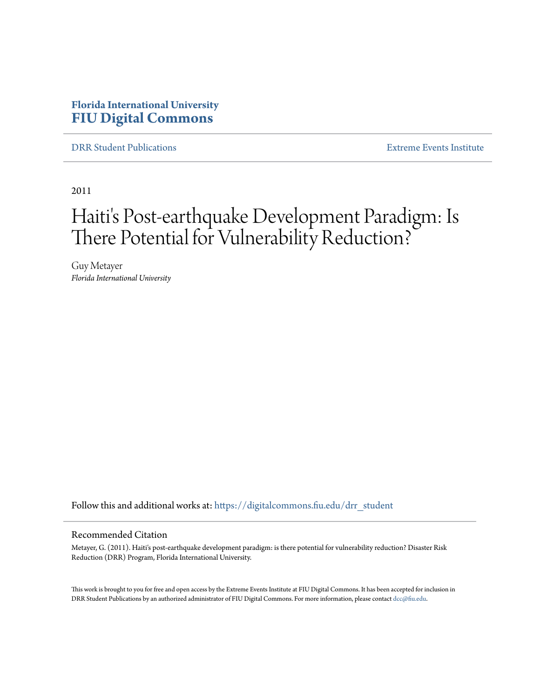## **Florida International University [FIU Digital Commons](https://digitalcommons.fiu.edu?utm_source=digitalcommons.fiu.edu%2Fdrr_student%2F11&utm_medium=PDF&utm_campaign=PDFCoverPages)**

[DRR Student Publications](https://digitalcommons.fiu.edu/drr_student?utm_source=digitalcommons.fiu.edu%2Fdrr_student%2F11&utm_medium=PDF&utm_campaign=PDFCoverPages) [Extreme Events Institute](https://digitalcommons.fiu.edu/drr?utm_source=digitalcommons.fiu.edu%2Fdrr_student%2F11&utm_medium=PDF&utm_campaign=PDFCoverPages)

2011

# Haiti's Post-earthquake Development Paradigm: Is There Potential for Vulnerability Reduction?

Guy Metayer *Florida International University*

Follow this and additional works at: [https://digitalcommons.fiu.edu/drr\\_student](https://digitalcommons.fiu.edu/drr_student?utm_source=digitalcommons.fiu.edu%2Fdrr_student%2F11&utm_medium=PDF&utm_campaign=PDFCoverPages)

#### Recommended Citation

Metayer, G. (2011). Haiti's post-earthquake development paradigm: is there potential for vulnerability reduction? Disaster Risk Reduction (DRR) Program, Florida International University.

This work is brought to you for free and open access by the Extreme Events Institute at FIU Digital Commons. It has been accepted for inclusion in DRR Student Publications by an authorized administrator of FIU Digital Commons. For more information, please contact [dcc@fiu.edu](mailto:dcc@fiu.edu).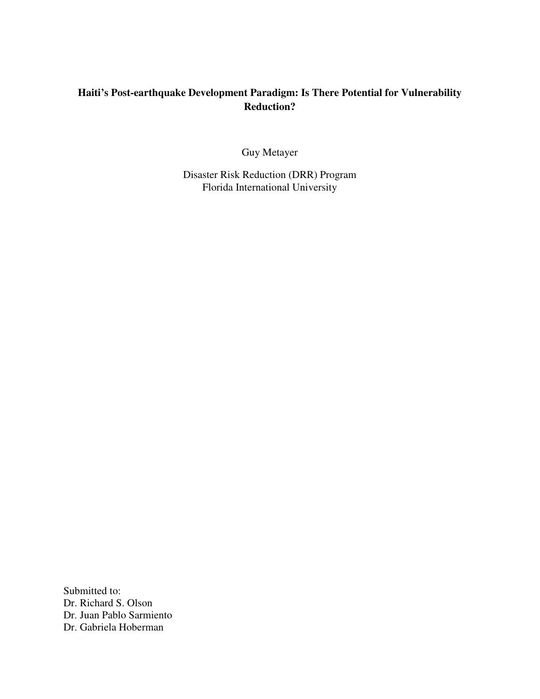## **Haiti's Post-earthquake Development Paradigm: Is There Potential for Vulnerability Reduction?**

Guy Metayer

Disaster Risk Reduction (DRR) Program Florida International University

Submitted to: Dr. Richard S. Olson Dr. Juan Pablo Sarmiento Dr. Gabriela Hoberman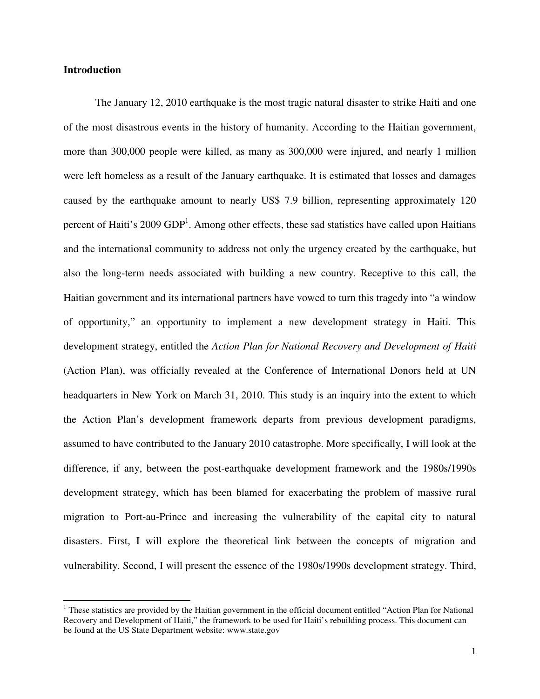#### **Introduction**

The January 12, 2010 earthquake is the most tragic natural disaster to strike Haiti and one of the most disastrous events in the history of humanity. According to the Haitian government, more than 300,000 people were killed, as many as 300,000 were injured, and nearly 1 million were left homeless as a result of the January earthquake. It is estimated that losses and damages caused by the earthquake amount to nearly US\$ 7.9 billion, representing approximately 120 percent of Haiti's 2009 GDP<sup>1</sup>. Among other effects, these sad statistics have called upon Haitians and the international community to address not only the urgency created by the earthquake, but also the long-term needs associated with building a new country. Receptive to this call, the Haitian government and its international partners have vowed to turn this tragedy into "a window of opportunity," an opportunity to implement a new development strategy in Haiti. This development strategy, entitled the *Action Plan for National Recovery and Development of Haiti*  (Action Plan), was officially revealed at the Conference of International Donors held at UN headquarters in New York on March 31, 2010. This study is an inquiry into the extent to which the Action Plan's development framework departs from previous development paradigms, assumed to have contributed to the January 2010 catastrophe. More specifically, I will look at the difference, if any, between the post-earthquake development framework and the 1980s/1990s development strategy, which has been blamed for exacerbating the problem of massive rural migration to Port-au-Prince and increasing the vulnerability of the capital city to natural disasters. First, I will explore the theoretical link between the concepts of migration and vulnerability. Second, I will present the essence of the 1980s/1990s development strategy. Third,

<sup>&</sup>lt;sup>1</sup> These statistics are provided by the Haitian government in the official document entitled "Action Plan for National Recovery and Development of Haiti," the framework to be used for Haiti's rebuilding process. This document can be found at the US State Department website: www.state.gov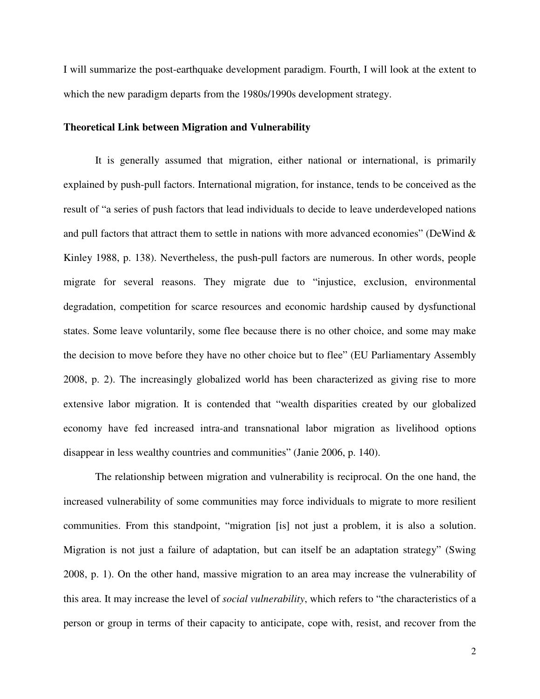I will summarize the post-earthquake development paradigm. Fourth, I will look at the extent to which the new paradigm departs from the 1980s/1990s development strategy.

#### **Theoretical Link between Migration and Vulnerability**

It is generally assumed that migration, either national or international, is primarily explained by push-pull factors. International migration, for instance, tends to be conceived as the result of "a series of push factors that lead individuals to decide to leave underdeveloped nations and pull factors that attract them to settle in nations with more advanced economies" (DeWind  $\&$ Kinley 1988, p. 138). Nevertheless, the push-pull factors are numerous. In other words, people migrate for several reasons. They migrate due to "injustice, exclusion, environmental degradation, competition for scarce resources and economic hardship caused by dysfunctional states. Some leave voluntarily, some flee because there is no other choice, and some may make the decision to move before they have no other choice but to flee" (EU Parliamentary Assembly 2008, p. 2). The increasingly globalized world has been characterized as giving rise to more extensive labor migration. It is contended that "wealth disparities created by our globalized economy have fed increased intra-and transnational labor migration as livelihood options disappear in less wealthy countries and communities" (Janie 2006, p. 140).

The relationship between migration and vulnerability is reciprocal. On the one hand, the increased vulnerability of some communities may force individuals to migrate to more resilient communities. From this standpoint, "migration [is] not just a problem, it is also a solution. Migration is not just a failure of adaptation, but can itself be an adaptation strategy" (Swing 2008, p. 1). On the other hand, massive migration to an area may increase the vulnerability of this area. It may increase the level of *social vulnerability*, which refers to "the characteristics of a person or group in terms of their capacity to anticipate, cope with, resist, and recover from the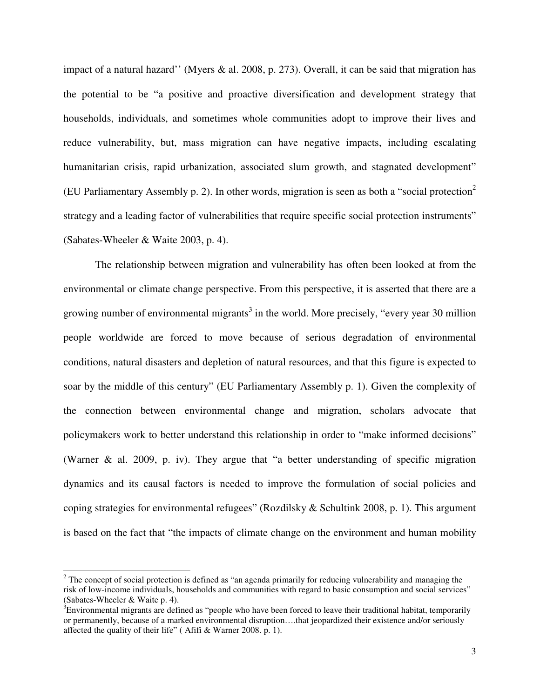impact of a natural hazard'' (Myers & al. 2008, p. 273). Overall, it can be said that migration has the potential to be "a positive and proactive diversification and development strategy that households, individuals, and sometimes whole communities adopt to improve their lives and reduce vulnerability, but, mass migration can have negative impacts, including escalating humanitarian crisis, rapid urbanization, associated slum growth, and stagnated development" (EU Parliamentary Assembly p. 2). In other words, migration is seen as both a "social protection" strategy and a leading factor of vulnerabilities that require specific social protection instruments" (Sabates-Wheeler & Waite 2003, p. 4).

The relationship between migration and vulnerability has often been looked at from the environmental or climate change perspective. From this perspective, it is asserted that there are a growing number of environmental migrants<sup>3</sup> in the world. More precisely, "every year 30 million people worldwide are forced to move because of serious degradation of environmental conditions, natural disasters and depletion of natural resources, and that this figure is expected to soar by the middle of this century" (EU Parliamentary Assembly p. 1). Given the complexity of the connection between environmental change and migration, scholars advocate that policymakers work to better understand this relationship in order to "make informed decisions" (Warner & al. 2009, p. iv). They argue that "a better understanding of specific migration dynamics and its causal factors is needed to improve the formulation of social policies and coping strategies for environmental refugees" (Rozdilsky & Schultink 2008, p. 1). This argument is based on the fact that "the impacts of climate change on the environment and human mobility

 $2^2$  The concept of social protection is defined as "an agenda primarily for reducing vulnerability and managing the risk of low-income individuals, households and communities with regard to basic consumption and social services" (Sabates-Wheeler & Waite p. 4).

 $3\text{E}$ nvironmental migrants are defined as "people who have been forced to leave their traditional habitat, temporarily or permanently, because of a marked environmental disruption….that jeopardized their existence and/or seriously affected the quality of their life" ( Afifi & Warner 2008. p. 1).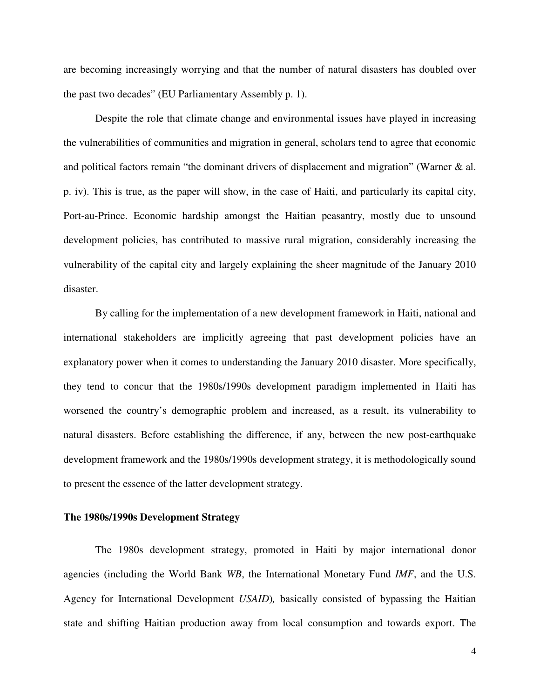are becoming increasingly worrying and that the number of natural disasters has doubled over the past two decades" (EU Parliamentary Assembly p. 1).

Despite the role that climate change and environmental issues have played in increasing the vulnerabilities of communities and migration in general, scholars tend to agree that economic and political factors remain "the dominant drivers of displacement and migration" (Warner & al. p. iv). This is true, as the paper will show, in the case of Haiti, and particularly its capital city, Port-au-Prince. Economic hardship amongst the Haitian peasantry, mostly due to unsound development policies, has contributed to massive rural migration, considerably increasing the vulnerability of the capital city and largely explaining the sheer magnitude of the January 2010 disaster.

By calling for the implementation of a new development framework in Haiti, national and international stakeholders are implicitly agreeing that past development policies have an explanatory power when it comes to understanding the January 2010 disaster. More specifically, they tend to concur that the 1980s/1990s development paradigm implemented in Haiti has worsened the country's demographic problem and increased, as a result, its vulnerability to natural disasters. Before establishing the difference, if any, between the new post-earthquake development framework and the 1980s/1990s development strategy, it is methodologically sound to present the essence of the latter development strategy.

#### **The 1980s/1990s Development Strategy**

The 1980s development strategy, promoted in Haiti by major international donor agencies (including the World Bank *WB*, the International Monetary Fund *IMF*, and the U.S. Agency for International Development *USAID*)*,* basically consisted of bypassing the Haitian state and shifting Haitian production away from local consumption and towards export. The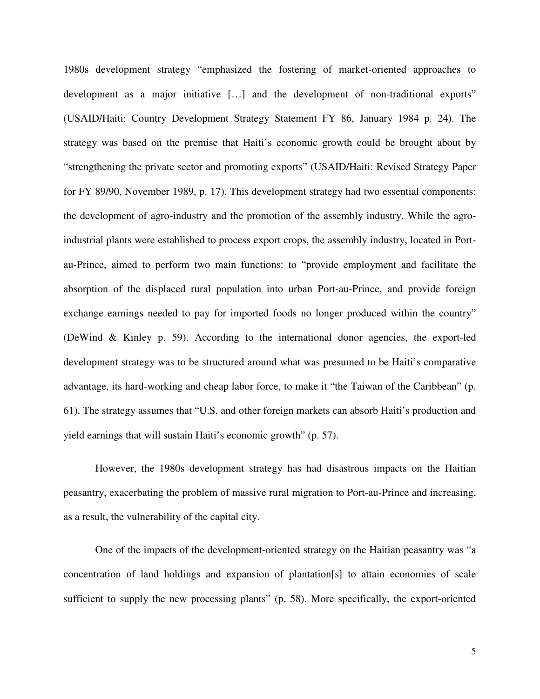1980s development strategy "emphasized the fostering of market-oriented approaches to development as a major initiative […] and the development of non-traditional exports" (USAID/Haiti: Country Development Strategy Statement FY 86, January 1984 p. 24). The strategy was based on the premise that Haiti's economic growth could be brought about by "strengthening the private sector and promoting exports" (USAID/Haiti: Revised Strategy Paper for FY 89/90, November 1989, p. 17). This development strategy had two essential components: the development of agro-industry and the promotion of the assembly industry. While the agroindustrial plants were established to process export crops, the assembly industry, located in Portau-Prince, aimed to perform two main functions: to "provide employment and facilitate the absorption of the displaced rural population into urban Port-au-Prince, and provide foreign exchange earnings needed to pay for imported foods no longer produced within the country" (DeWind & Kinley p. 59). According to the international donor agencies, the export-led development strategy was to be structured around what was presumed to be Haiti's comparative advantage, its hard-working and cheap labor force, to make it "the Taiwan of the Caribbean" (p. 61). The strategy assumes that "U.S. and other foreign markets can absorb Haiti's production and yield earnings that will sustain Haiti's economic growth" (p. 57).

However, the 1980s development strategy has had disastrous impacts on the Haitian peasantry, exacerbating the problem of massive rural migration to Port-au-Prince and increasing, as a result, the vulnerability of the capital city.

One of the impacts of the development-oriented strategy on the Haitian peasantry was "a concentration of land holdings and expansion of plantation[s] to attain economies of scale sufficient to supply the new processing plants" (p. 58). More specifically, the export-oriented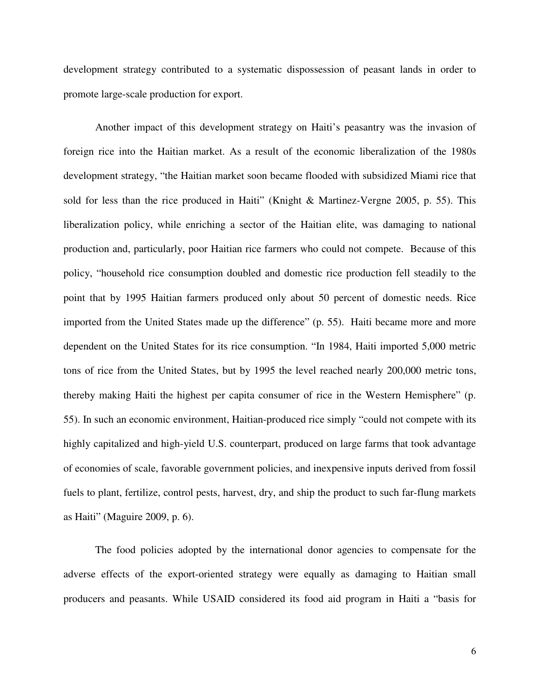development strategy contributed to a systematic dispossession of peasant lands in order to promote large-scale production for export.

Another impact of this development strategy on Haiti's peasantry was the invasion of foreign rice into the Haitian market. As a result of the economic liberalization of the 1980s development strategy, "the Haitian market soon became flooded with subsidized Miami rice that sold for less than the rice produced in Haiti" (Knight & Martinez-Vergne 2005, p. 55). This liberalization policy, while enriching a sector of the Haitian elite, was damaging to national production and, particularly, poor Haitian rice farmers who could not compete. Because of this policy, "household rice consumption doubled and domestic rice production fell steadily to the point that by 1995 Haitian farmers produced only about 50 percent of domestic needs. Rice imported from the United States made up the difference" (p. 55). Haiti became more and more dependent on the United States for its rice consumption. "In 1984, Haiti imported 5,000 metric tons of rice from the United States, but by 1995 the level reached nearly 200,000 metric tons, thereby making Haiti the highest per capita consumer of rice in the Western Hemisphere" (p. 55). In such an economic environment, Haitian-produced rice simply "could not compete with its highly capitalized and high-yield U.S. counterpart, produced on large farms that took advantage of economies of scale, favorable government policies, and inexpensive inputs derived from fossil fuels to plant, fertilize, control pests, harvest, dry, and ship the product to such far-flung markets as Haiti" (Maguire 2009, p. 6).

The food policies adopted by the international donor agencies to compensate for the adverse effects of the export-oriented strategy were equally as damaging to Haitian small producers and peasants. While USAID considered its food aid program in Haiti a "basis for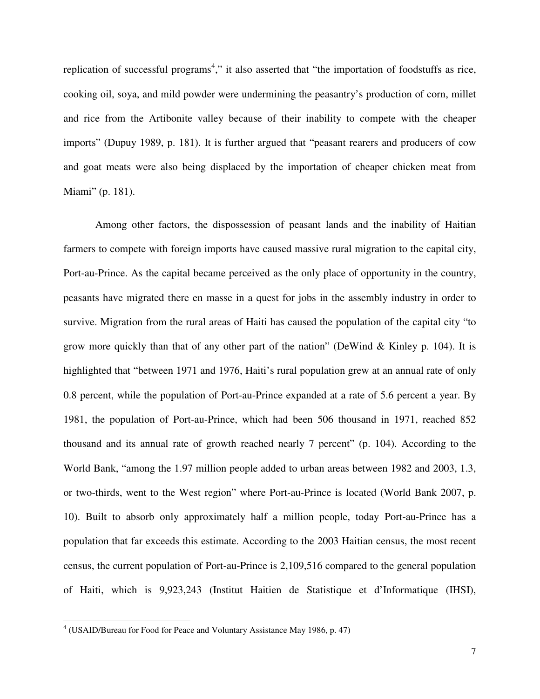replication of successful programs<sup>4</sup>," it also asserted that "the importation of foodstuffs as rice, cooking oil, soya, and mild powder were undermining the peasantry's production of corn, millet and rice from the Artibonite valley because of their inability to compete with the cheaper imports" (Dupuy 1989, p. 181). It is further argued that "peasant rearers and producers of cow and goat meats were also being displaced by the importation of cheaper chicken meat from Miami" (p. 181).

Among other factors, the dispossession of peasant lands and the inability of Haitian farmers to compete with foreign imports have caused massive rural migration to the capital city, Port-au-Prince. As the capital became perceived as the only place of opportunity in the country, peasants have migrated there en masse in a quest for jobs in the assembly industry in order to survive. Migration from the rural areas of Haiti has caused the population of the capital city "to grow more quickly than that of any other part of the nation" (DeWind & Kinley p. 104). It is highlighted that "between 1971 and 1976, Haiti's rural population grew at an annual rate of only 0.8 percent, while the population of Port-au-Prince expanded at a rate of 5.6 percent a year. By 1981, the population of Port-au-Prince, which had been 506 thousand in 1971, reached 852 thousand and its annual rate of growth reached nearly 7 percent" (p. 104). According to the World Bank, "among the 1.97 million people added to urban areas between 1982 and 2003, 1.3, or two-thirds, went to the West region" where Port-au-Prince is located (World Bank 2007, p. 10). Built to absorb only approximately half a million people, today Port-au-Prince has a population that far exceeds this estimate. According to the 2003 Haitian census, the most recent census, the current population of Port-au-Prince is 2,109,516 compared to the general population of Haiti, which is 9,923,243 (Institut Haitien de Statistique et d'Informatique (IHSI),

<sup>4</sup> (USAID/Bureau for Food for Peace and Voluntary Assistance May 1986, p. 47)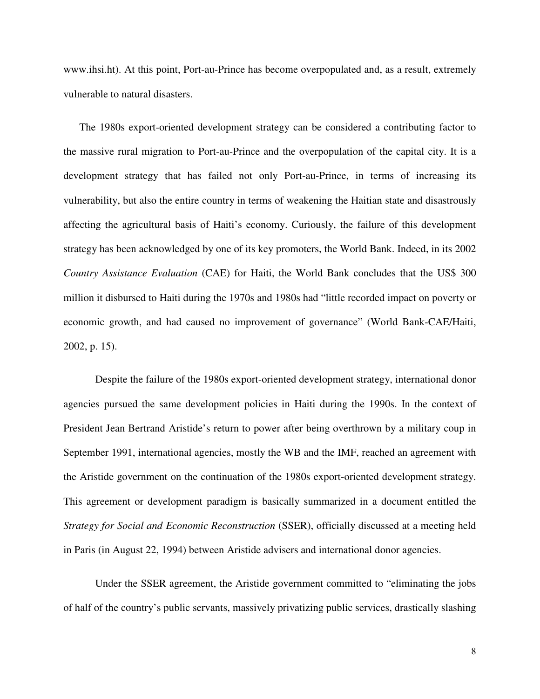www.ihsi.ht). At this point, Port-au-Prince has become overpopulated and, as a result, extremely vulnerable to natural disasters.

The 1980s export-oriented development strategy can be considered a contributing factor to the massive rural migration to Port-au-Prince and the overpopulation of the capital city. It is a development strategy that has failed not only Port-au-Prince, in terms of increasing its vulnerability, but also the entire country in terms of weakening the Haitian state and disastrously affecting the agricultural basis of Haiti's economy. Curiously, the failure of this development strategy has been acknowledged by one of its key promoters, the World Bank. Indeed, in its 2002 *Country Assistance Evaluation* (CAE) for Haiti, the World Bank concludes that the US\$ 300 million it disbursed to Haiti during the 1970s and 1980s had "little recorded impact on poverty or economic growth, and had caused no improvement of governance" (World Bank-CAE/Haiti, 2002, p. 15).

Despite the failure of the 1980s export-oriented development strategy, international donor agencies pursued the same development policies in Haiti during the 1990s. In the context of President Jean Bertrand Aristide's return to power after being overthrown by a military coup in September 1991, international agencies, mostly the WB and the IMF, reached an agreement with the Aristide government on the continuation of the 1980s export-oriented development strategy. This agreement or development paradigm is basically summarized in a document entitled the *Strategy for Social and Economic Reconstruction* (SSER), officially discussed at a meeting held in Paris (in August 22, 1994) between Aristide advisers and international donor agencies.

Under the SSER agreement, the Aristide government committed to "eliminating the jobs of half of the country's public servants, massively privatizing public services, drastically slashing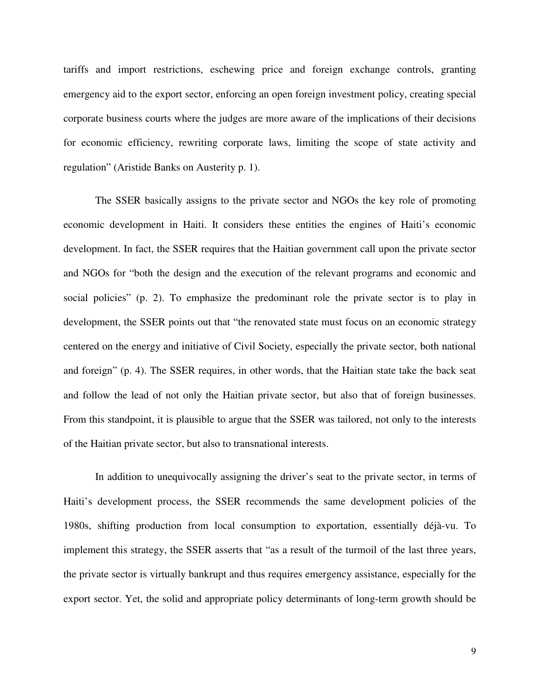tariffs and import restrictions, eschewing price and foreign exchange controls, granting emergency aid to the export sector, enforcing an open foreign investment policy, creating special corporate business courts where the judges are more aware of the implications of their decisions for economic efficiency, rewriting corporate laws, limiting the scope of state activity and regulation" (Aristide Banks on Austerity p. 1).

The SSER basically assigns to the private sector and NGOs the key role of promoting economic development in Haiti. It considers these entities the engines of Haiti's economic development. In fact, the SSER requires that the Haitian government call upon the private sector and NGOs for "both the design and the execution of the relevant programs and economic and social policies" (p. 2). To emphasize the predominant role the private sector is to play in development, the SSER points out that "the renovated state must focus on an economic strategy centered on the energy and initiative of Civil Society, especially the private sector, both national and foreign" (p. 4). The SSER requires, in other words, that the Haitian state take the back seat and follow the lead of not only the Haitian private sector, but also that of foreign businesses. From this standpoint, it is plausible to argue that the SSER was tailored, not only to the interests of the Haitian private sector, but also to transnational interests.

In addition to unequivocally assigning the driver's seat to the private sector, in terms of Haiti's development process, the SSER recommends the same development policies of the 1980s, shifting production from local consumption to exportation, essentially déjà-vu. To implement this strategy, the SSER asserts that "as a result of the turmoil of the last three years, the private sector is virtually bankrupt and thus requires emergency assistance, especially for the export sector. Yet, the solid and appropriate policy determinants of long-term growth should be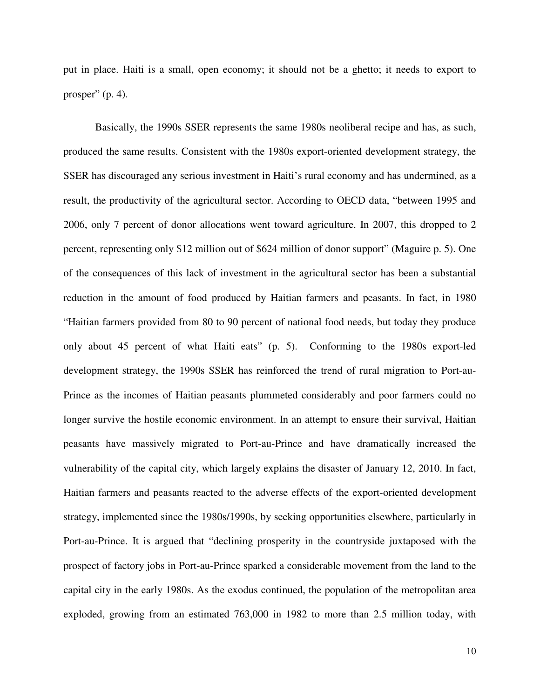put in place. Haiti is a small, open economy; it should not be a ghetto; it needs to export to prosper"  $(p. 4)$ .

Basically, the 1990s SSER represents the same 1980s neoliberal recipe and has, as such, produced the same results. Consistent with the 1980s export-oriented development strategy, the SSER has discouraged any serious investment in Haiti's rural economy and has undermined, as a result, the productivity of the agricultural sector. According to OECD data, "between 1995 and 2006, only 7 percent of donor allocations went toward agriculture. In 2007, this dropped to 2 percent, representing only \$12 million out of \$624 million of donor support" (Maguire p. 5). One of the consequences of this lack of investment in the agricultural sector has been a substantial reduction in the amount of food produced by Haitian farmers and peasants. In fact, in 1980 "Haitian farmers provided from 80 to 90 percent of national food needs, but today they produce only about 45 percent of what Haiti eats" (p. 5). Conforming to the 1980s export-led development strategy, the 1990s SSER has reinforced the trend of rural migration to Port-au-Prince as the incomes of Haitian peasants plummeted considerably and poor farmers could no longer survive the hostile economic environment. In an attempt to ensure their survival, Haitian peasants have massively migrated to Port-au-Prince and have dramatically increased the vulnerability of the capital city, which largely explains the disaster of January 12, 2010. In fact, Haitian farmers and peasants reacted to the adverse effects of the export-oriented development strategy, implemented since the 1980s/1990s, by seeking opportunities elsewhere, particularly in Port-au-Prince. It is argued that "declining prosperity in the countryside juxtaposed with the prospect of factory jobs in Port-au-Prince sparked a considerable movement from the land to the capital city in the early 1980s. As the exodus continued, the population of the metropolitan area exploded, growing from an estimated 763,000 in 1982 to more than 2.5 million today, with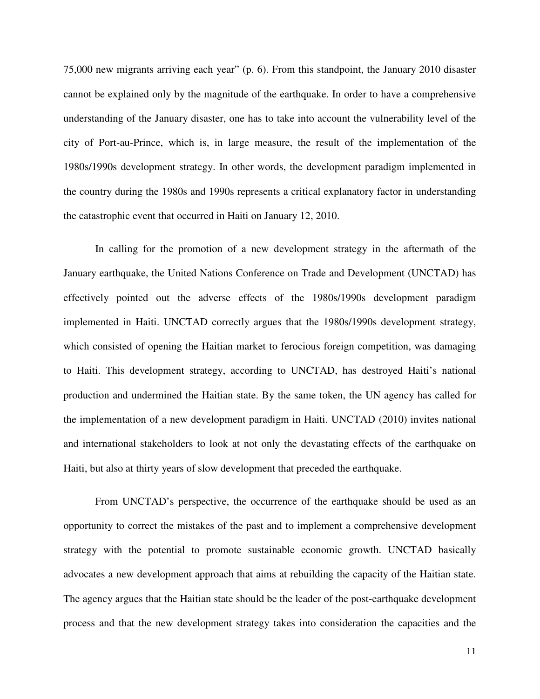75,000 new migrants arriving each year" (p. 6). From this standpoint, the January 2010 disaster cannot be explained only by the magnitude of the earthquake. In order to have a comprehensive understanding of the January disaster, one has to take into account the vulnerability level of the city of Port-au-Prince, which is, in large measure, the result of the implementation of the 1980s/1990s development strategy. In other words, the development paradigm implemented in the country during the 1980s and 1990s represents a critical explanatory factor in understanding the catastrophic event that occurred in Haiti on January 12, 2010.

In calling for the promotion of a new development strategy in the aftermath of the January earthquake, the United Nations Conference on Trade and Development (UNCTAD) has effectively pointed out the adverse effects of the 1980s/1990s development paradigm implemented in Haiti. UNCTAD correctly argues that the 1980s/1990s development strategy, which consisted of opening the Haitian market to ferocious foreign competition, was damaging to Haiti. This development strategy, according to UNCTAD, has destroyed Haiti's national production and undermined the Haitian state. By the same token, the UN agency has called for the implementation of a new development paradigm in Haiti. UNCTAD (2010) invites national and international stakeholders to look at not only the devastating effects of the earthquake on Haiti, but also at thirty years of slow development that preceded the earthquake.

From UNCTAD's perspective, the occurrence of the earthquake should be used as an opportunity to correct the mistakes of the past and to implement a comprehensive development strategy with the potential to promote sustainable economic growth. UNCTAD basically advocates a new development approach that aims at rebuilding the capacity of the Haitian state. The agency argues that the Haitian state should be the leader of the post-earthquake development process and that the new development strategy takes into consideration the capacities and the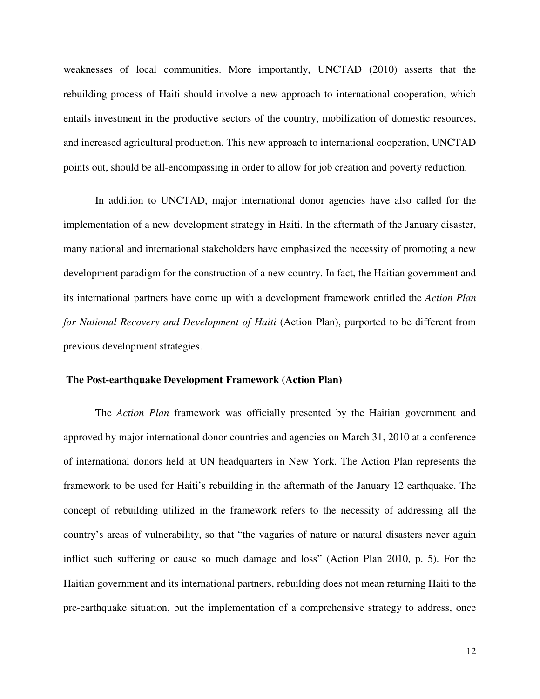weaknesses of local communities. More importantly, UNCTAD (2010) asserts that the rebuilding process of Haiti should involve a new approach to international cooperation, which entails investment in the productive sectors of the country, mobilization of domestic resources, and increased agricultural production. This new approach to international cooperation, UNCTAD points out, should be all-encompassing in order to allow for job creation and poverty reduction.

 In addition to UNCTAD, major international donor agencies have also called for the implementation of a new development strategy in Haiti. In the aftermath of the January disaster, many national and international stakeholders have emphasized the necessity of promoting a new development paradigm for the construction of a new country. In fact, the Haitian government and its international partners have come up with a development framework entitled the *Action Plan for National Recovery and Development of Haiti* (Action Plan), purported to be different from previous development strategies.

#### **The Post-earthquake Development Framework (Action Plan)**

The *Action Plan* framework was officially presented by the Haitian government and approved by major international donor countries and agencies on March 31, 2010 at a conference of international donors held at UN headquarters in New York. The Action Plan represents the framework to be used for Haiti's rebuilding in the aftermath of the January 12 earthquake. The concept of rebuilding utilized in the framework refers to the necessity of addressing all the country's areas of vulnerability, so that "the vagaries of nature or natural disasters never again inflict such suffering or cause so much damage and loss" (Action Plan 2010, p. 5). For the Haitian government and its international partners, rebuilding does not mean returning Haiti to the pre-earthquake situation, but the implementation of a comprehensive strategy to address, once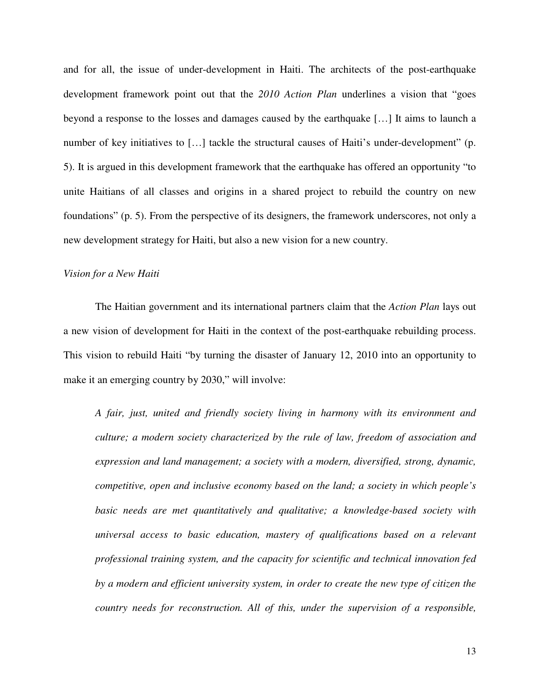and for all, the issue of under-development in Haiti. The architects of the post-earthquake development framework point out that the *2010 Action Plan* underlines a vision that "goes beyond a response to the losses and damages caused by the earthquake […] It aims to launch a number of key initiatives to [...] tackle the structural causes of Haiti's under-development" (p. 5). It is argued in this development framework that the earthquake has offered an opportunity "to unite Haitians of all classes and origins in a shared project to rebuild the country on new foundations" (p. 5). From the perspective of its designers, the framework underscores, not only a new development strategy for Haiti, but also a new vision for a new country.

#### *Vision for a New Haiti*

The Haitian government and its international partners claim that the *Action Plan* lays out a new vision of development for Haiti in the context of the post-earthquake rebuilding process. This vision to rebuild Haiti "by turning the disaster of January 12, 2010 into an opportunity to make it an emerging country by 2030," will involve:

*A fair, just, united and friendly society living in harmony with its environment and culture; a modern society characterized by the rule of law, freedom of association and expression and land management; a society with a modern, diversified, strong, dynamic, competitive, open and inclusive economy based on the land; a society in which people's basic needs are met quantitatively and qualitative; a knowledge-based society with universal access to basic education, mastery of qualifications based on a relevant professional training system, and the capacity for scientific and technical innovation fed by a modern and efficient university system, in order to create the new type of citizen the country needs for reconstruction. All of this, under the supervision of a responsible,*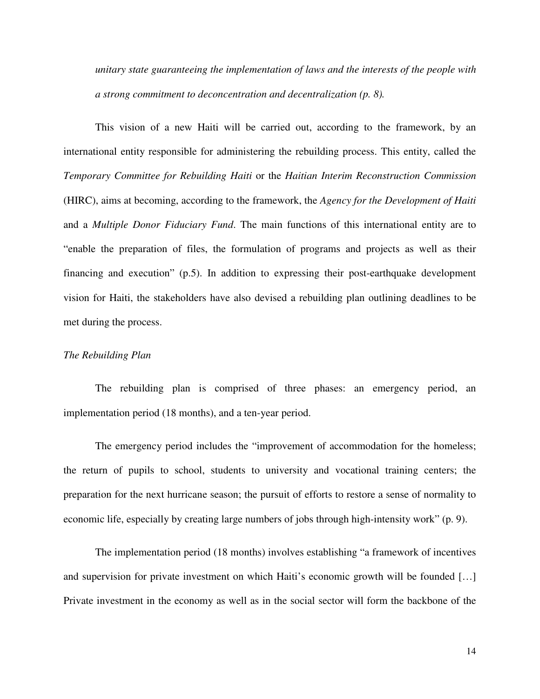*unitary state guaranteeing the implementation of laws and the interests of the people with a strong commitment to deconcentration and decentralization (p. 8).*

This vision of a new Haiti will be carried out, according to the framework, by an international entity responsible for administering the rebuilding process. This entity, called the *Temporary Committee for Rebuilding Haiti* or the *Haitian Interim Reconstruction Commission* (HIRC), aims at becoming, according to the framework, the *Agency for the Development of Haiti* and a *Multiple Donor Fiduciary Fund*. The main functions of this international entity are to "enable the preparation of files, the formulation of programs and projects as well as their financing and execution" (p.5). In addition to expressing their post-earthquake development vision for Haiti, the stakeholders have also devised a rebuilding plan outlining deadlines to be met during the process.

#### *The Rebuilding Plan*

The rebuilding plan is comprised of three phases: an emergency period, an implementation period (18 months), and a ten-year period.

The emergency period includes the "improvement of accommodation for the homeless; the return of pupils to school, students to university and vocational training centers; the preparation for the next hurricane season; the pursuit of efforts to restore a sense of normality to economic life, especially by creating large numbers of jobs through high-intensity work" (p. 9).

The implementation period (18 months) involves establishing "a framework of incentives and supervision for private investment on which Haiti's economic growth will be founded […] Private investment in the economy as well as in the social sector will form the backbone of the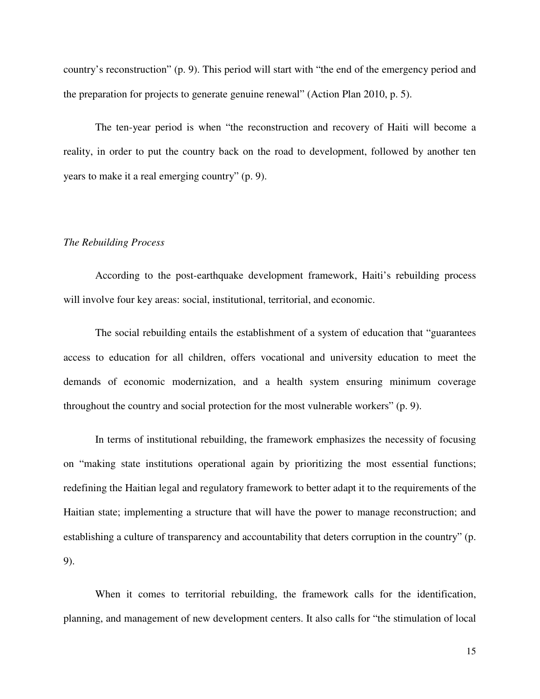country's reconstruction" (p. 9). This period will start with "the end of the emergency period and the preparation for projects to generate genuine renewal" (Action Plan 2010, p. 5).

The ten-year period is when "the reconstruction and recovery of Haiti will become a reality, in order to put the country back on the road to development, followed by another ten years to make it a real emerging country" (p. 9).

#### *The Rebuilding Process*

According to the post-earthquake development framework, Haiti's rebuilding process will involve four key areas: social, institutional, territorial, and economic.

The social rebuilding entails the establishment of a system of education that "guarantees access to education for all children, offers vocational and university education to meet the demands of economic modernization, and a health system ensuring minimum coverage throughout the country and social protection for the most vulnerable workers" (p. 9).

In terms of institutional rebuilding, the framework emphasizes the necessity of focusing on "making state institutions operational again by prioritizing the most essential functions; redefining the Haitian legal and regulatory framework to better adapt it to the requirements of the Haitian state; implementing a structure that will have the power to manage reconstruction; and establishing a culture of transparency and accountability that deters corruption in the country" (p. 9).

When it comes to territorial rebuilding, the framework calls for the identification, planning, and management of new development centers. It also calls for "the stimulation of local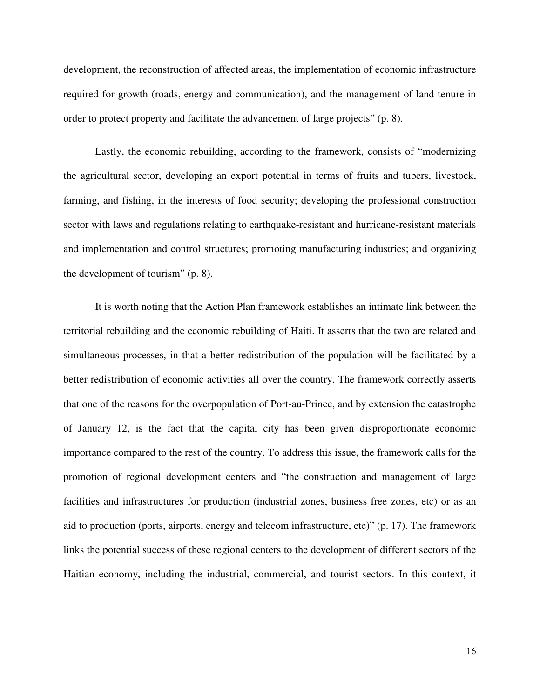development, the reconstruction of affected areas, the implementation of economic infrastructure required for growth (roads, energy and communication), and the management of land tenure in order to protect property and facilitate the advancement of large projects" (p. 8).

Lastly, the economic rebuilding, according to the framework, consists of "modernizing the agricultural sector, developing an export potential in terms of fruits and tubers, livestock, farming, and fishing, in the interests of food security; developing the professional construction sector with laws and regulations relating to earthquake-resistant and hurricane-resistant materials and implementation and control structures; promoting manufacturing industries; and organizing the development of tourism" (p. 8).

It is worth noting that the Action Plan framework establishes an intimate link between the territorial rebuilding and the economic rebuilding of Haiti. It asserts that the two are related and simultaneous processes, in that a better redistribution of the population will be facilitated by a better redistribution of economic activities all over the country. The framework correctly asserts that one of the reasons for the overpopulation of Port-au-Prince, and by extension the catastrophe of January 12, is the fact that the capital city has been given disproportionate economic importance compared to the rest of the country. To address this issue, the framework calls for the promotion of regional development centers and "the construction and management of large facilities and infrastructures for production (industrial zones, business free zones, etc) or as an aid to production (ports, airports, energy and telecom infrastructure, etc)" (p. 17). The framework links the potential success of these regional centers to the development of different sectors of the Haitian economy, including the industrial, commercial, and tourist sectors. In this context, it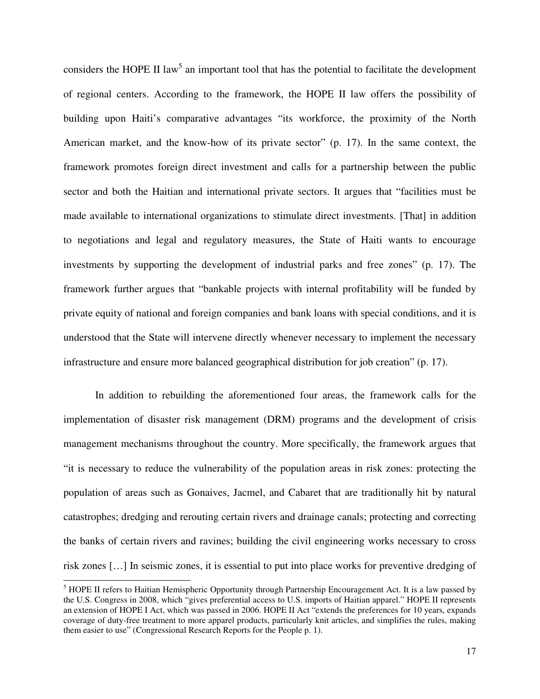considers the HOPE II law<sup>5</sup> an important tool that has the potential to facilitate the development of regional centers. According to the framework, the HOPE II law offers the possibility of building upon Haiti's comparative advantages "its workforce, the proximity of the North American market, and the know-how of its private sector" (p. 17). In the same context, the framework promotes foreign direct investment and calls for a partnership between the public sector and both the Haitian and international private sectors. It argues that "facilities must be made available to international organizations to stimulate direct investments. [That] in addition to negotiations and legal and regulatory measures, the State of Haiti wants to encourage investments by supporting the development of industrial parks and free zones" (p. 17). The framework further argues that "bankable projects with internal profitability will be funded by private equity of national and foreign companies and bank loans with special conditions, and it is understood that the State will intervene directly whenever necessary to implement the necessary infrastructure and ensure more balanced geographical distribution for job creation" (p. 17).

In addition to rebuilding the aforementioned four areas, the framework calls for the implementation of disaster risk management (DRM) programs and the development of crisis management mechanisms throughout the country. More specifically, the framework argues that "it is necessary to reduce the vulnerability of the population areas in risk zones: protecting the population of areas such as Gonaives, Jacmel, and Cabaret that are traditionally hit by natural catastrophes; dredging and rerouting certain rivers and drainage canals; protecting and correcting the banks of certain rivers and ravines; building the civil engineering works necessary to cross risk zones […] In seismic zones, it is essential to put into place works for preventive dredging of

<sup>&</sup>lt;sup>5</sup> HOPE II refers to Haitian Hemispheric Opportunity through Partnership Encouragement Act. It is a law passed by the U.S. Congress in 2008, which "gives preferential access to U.S. imports of Haitian apparel." HOPE II represents an extension of HOPE I Act, which was passed in 2006. HOPE II Act "extends the preferences for 10 years, expands coverage of duty-free treatment to more apparel products, particularly knit articles, and simplifies the rules, making them easier to use" (Congressional Research Reports for the People p. 1).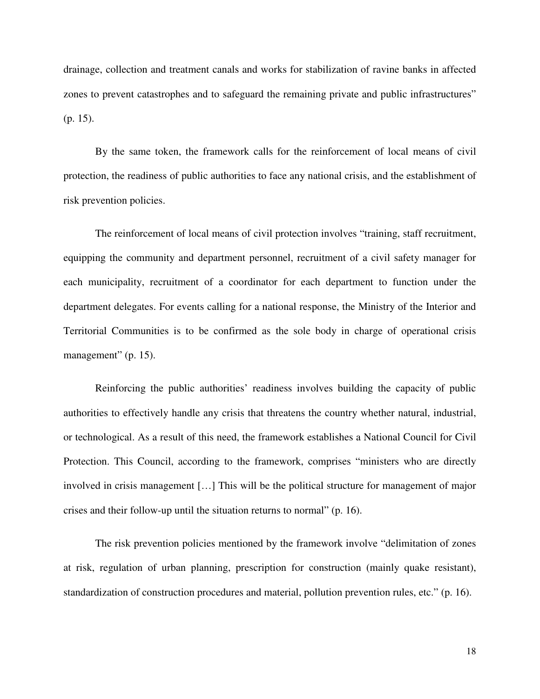drainage, collection and treatment canals and works for stabilization of ravine banks in affected zones to prevent catastrophes and to safeguard the remaining private and public infrastructures" (p. 15).

By the same token, the framework calls for the reinforcement of local means of civil protection, the readiness of public authorities to face any national crisis, and the establishment of risk prevention policies.

The reinforcement of local means of civil protection involves "training, staff recruitment, equipping the community and department personnel, recruitment of a civil safety manager for each municipality, recruitment of a coordinator for each department to function under the department delegates. For events calling for a national response, the Ministry of the Interior and Territorial Communities is to be confirmed as the sole body in charge of operational crisis management" (p. 15).

Reinforcing the public authorities' readiness involves building the capacity of public authorities to effectively handle any crisis that threatens the country whether natural, industrial, or technological. As a result of this need, the framework establishes a National Council for Civil Protection. This Council, according to the framework, comprises "ministers who are directly involved in crisis management […] This will be the political structure for management of major crises and their follow-up until the situation returns to normal" (p. 16).

The risk prevention policies mentioned by the framework involve "delimitation of zones at risk, regulation of urban planning, prescription for construction (mainly quake resistant), standardization of construction procedures and material, pollution prevention rules, etc." (p. 16).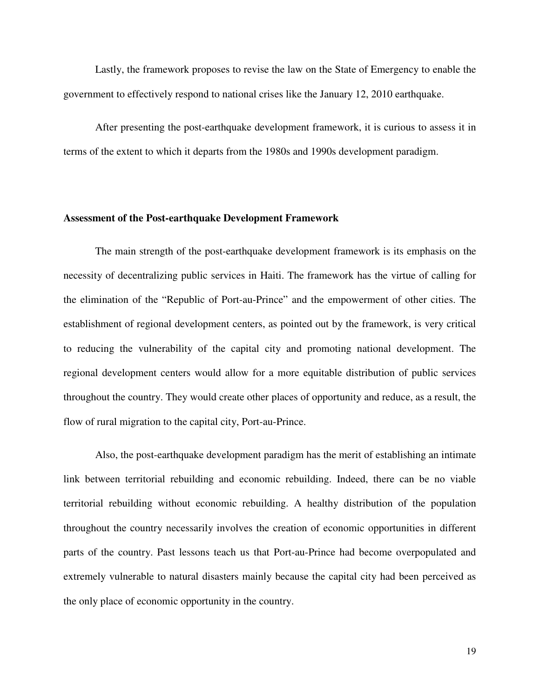Lastly, the framework proposes to revise the law on the State of Emergency to enable the government to effectively respond to national crises like the January 12, 2010 earthquake.

 After presenting the post-earthquake development framework, it is curious to assess it in terms of the extent to which it departs from the 1980s and 1990s development paradigm.

#### **Assessment of the Post-earthquake Development Framework**

The main strength of the post-earthquake development framework is its emphasis on the necessity of decentralizing public services in Haiti. The framework has the virtue of calling for the elimination of the "Republic of Port-au-Prince" and the empowerment of other cities. The establishment of regional development centers, as pointed out by the framework, is very critical to reducing the vulnerability of the capital city and promoting national development. The regional development centers would allow for a more equitable distribution of public services throughout the country. They would create other places of opportunity and reduce, as a result, the flow of rural migration to the capital city, Port-au-Prince.

Also, the post-earthquake development paradigm has the merit of establishing an intimate link between territorial rebuilding and economic rebuilding. Indeed, there can be no viable territorial rebuilding without economic rebuilding. A healthy distribution of the population throughout the country necessarily involves the creation of economic opportunities in different parts of the country. Past lessons teach us that Port-au-Prince had become overpopulated and extremely vulnerable to natural disasters mainly because the capital city had been perceived as the only place of economic opportunity in the country.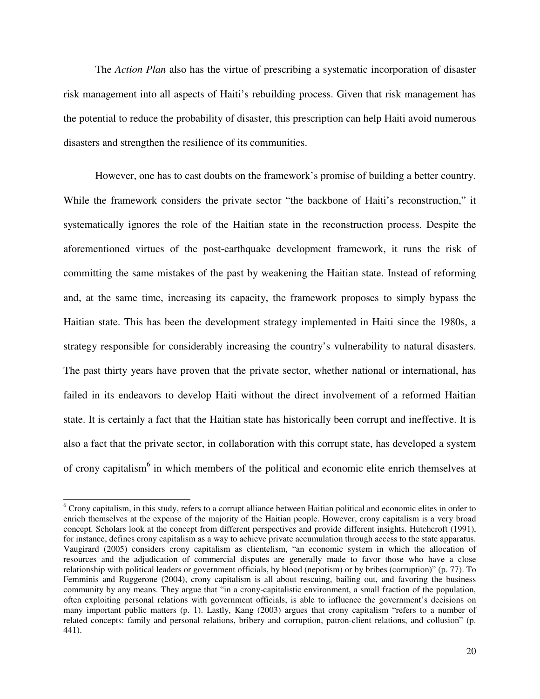The *Action Plan* also has the virtue of prescribing a systematic incorporation of disaster risk management into all aspects of Haiti's rebuilding process. Given that risk management has the potential to reduce the probability of disaster, this prescription can help Haiti avoid numerous disasters and strengthen the resilience of its communities.

However, one has to cast doubts on the framework's promise of building a better country. While the framework considers the private sector "the backbone of Haiti's reconstruction," it systematically ignores the role of the Haitian state in the reconstruction process. Despite the aforementioned virtues of the post-earthquake development framework, it runs the risk of committing the same mistakes of the past by weakening the Haitian state. Instead of reforming and, at the same time, increasing its capacity, the framework proposes to simply bypass the Haitian state. This has been the development strategy implemented in Haiti since the 1980s, a strategy responsible for considerably increasing the country's vulnerability to natural disasters. The past thirty years have proven that the private sector, whether national or international, has failed in its endeavors to develop Haiti without the direct involvement of a reformed Haitian state. It is certainly a fact that the Haitian state has historically been corrupt and ineffective. It is also a fact that the private sector, in collaboration with this corrupt state, has developed a system of crony capitalism<sup>6</sup> in which members of the political and economic elite enrich themselves at

<sup>&</sup>lt;sup>6</sup> Crony capitalism, in this study, refers to a corrupt alliance between Haitian political and economic elites in order to enrich themselves at the expense of the majority of the Haitian people. However, crony capitalism is a very broad concept. Scholars look at the concept from different perspectives and provide different insights. Hutchcroft (1991), for instance, defines crony capitalism as a way to achieve private accumulation through access to the state apparatus. Vaugirard (2005) considers crony capitalism as clientelism, "an economic system in which the allocation of resources and the adjudication of commercial disputes are generally made to favor those who have a close relationship with political leaders or government officials, by blood (nepotism) or by bribes (corruption)" (p. 77). To Femminis and Ruggerone (2004), crony capitalism is all about rescuing, bailing out, and favoring the business community by any means. They argue that "in a crony-capitalistic environment, a small fraction of the population, often exploiting personal relations with government officials, is able to influence the government's decisions on many important public matters (p. 1). Lastly, Kang (2003) argues that crony capitalism "refers to a number of related concepts: family and personal relations, bribery and corruption, patron-client relations, and collusion" (p. 441).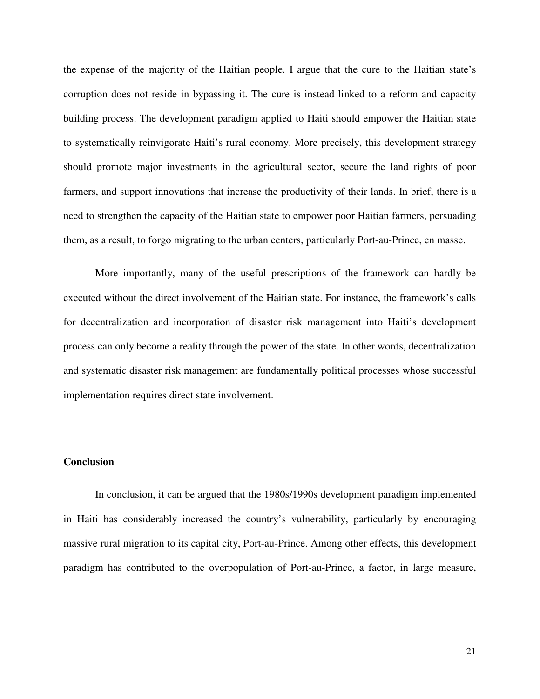the expense of the majority of the Haitian people. I argue that the cure to the Haitian state's corruption does not reside in bypassing it. The cure is instead linked to a reform and capacity building process. The development paradigm applied to Haiti should empower the Haitian state to systematically reinvigorate Haiti's rural economy. More precisely, this development strategy should promote major investments in the agricultural sector, secure the land rights of poor farmers, and support innovations that increase the productivity of their lands. In brief, there is a need to strengthen the capacity of the Haitian state to empower poor Haitian farmers, persuading them, as a result, to forgo migrating to the urban centers, particularly Port-au-Prince, en masse.

More importantly, many of the useful prescriptions of the framework can hardly be executed without the direct involvement of the Haitian state. For instance, the framework's calls for decentralization and incorporation of disaster risk management into Haiti's development process can only become a reality through the power of the state. In other words, decentralization and systematic disaster risk management are fundamentally political processes whose successful implementation requires direct state involvement.

### **Conclusion**

 In conclusion, it can be argued that the 1980s/1990s development paradigm implemented in Haiti has considerably increased the country's vulnerability, particularly by encouraging massive rural migration to its capital city, Port-au-Prince. Among other effects, this development paradigm has contributed to the overpopulation of Port-au-Prince, a factor, in large measure,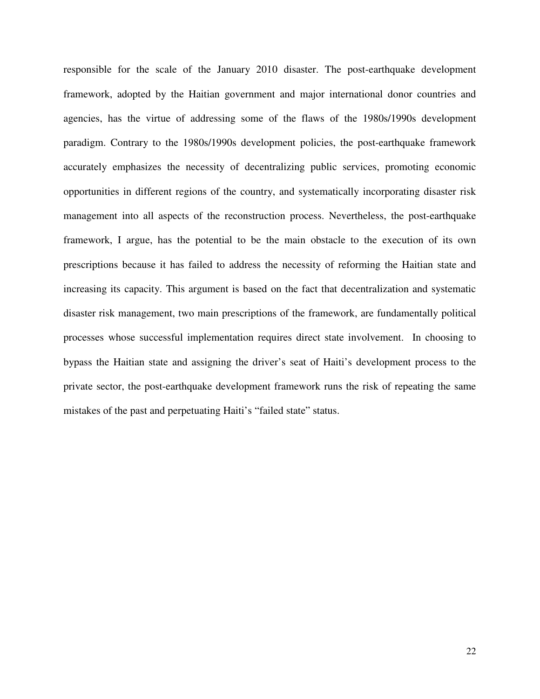responsible for the scale of the January 2010 disaster. The post-earthquake development framework, adopted by the Haitian government and major international donor countries and agencies, has the virtue of addressing some of the flaws of the 1980s/1990s development paradigm. Contrary to the 1980s/1990s development policies, the post-earthquake framework accurately emphasizes the necessity of decentralizing public services, promoting economic opportunities in different regions of the country, and systematically incorporating disaster risk management into all aspects of the reconstruction process. Nevertheless, the post-earthquake framework, I argue, has the potential to be the main obstacle to the execution of its own prescriptions because it has failed to address the necessity of reforming the Haitian state and increasing its capacity. This argument is based on the fact that decentralization and systematic disaster risk management, two main prescriptions of the framework, are fundamentally political processes whose successful implementation requires direct state involvement. In choosing to bypass the Haitian state and assigning the driver's seat of Haiti's development process to the private sector, the post-earthquake development framework runs the risk of repeating the same mistakes of the past and perpetuating Haiti's "failed state" status.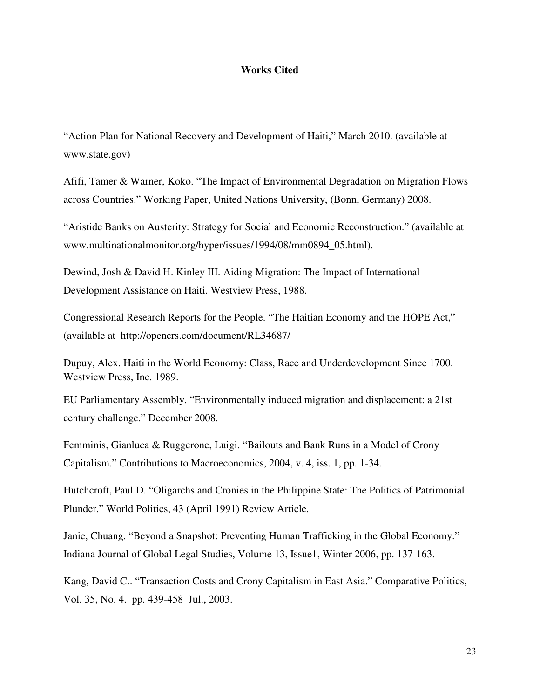#### **Works Cited**

"Action Plan for National Recovery and Development of Haiti," March 2010. (available at www.state.gov)

Afifi, Tamer & Warner, Koko. "The Impact of Environmental Degradation on Migration Flows across Countries." Working Paper, United Nations University, (Bonn, Germany) 2008.

"Aristide Banks on Austerity: Strategy for Social and Economic Reconstruction." (available at www.multinationalmonitor.org/hyper/issues/1994/08/mm0894\_05.html).

Dewind, Josh & David H. Kinley III. Aiding Migration: The Impact of International Development Assistance on Haiti. Westview Press, 1988.

Congressional Research Reports for the People. "The Haitian Economy and the HOPE Act," (available at http://opencrs.com/document/RL34687/

Dupuy, Alex. Haiti in the World Economy: Class, Race and Underdevelopment Since 1700. Westview Press, Inc. 1989.

EU Parliamentary Assembly. "Environmentally induced migration and displacement: a 21st century challenge." December 2008.

Femminis, Gianluca & Ruggerone, Luigi. "Bailouts and Bank Runs in a Model of Crony Capitalism." Contributions to Macroeconomics, 2004, v. 4, iss. 1, pp. 1-34.

Hutchcroft, Paul D. "Oligarchs and Cronies in the Philippine State: The Politics of Patrimonial Plunder." World Politics, 43 (April 1991) Review Article.

Janie, Chuang. "Beyond a Snapshot: Preventing Human Trafficking in the Global Economy." Indiana Journal of Global Legal Studies, Volume 13, Issue1, Winter 2006, pp. 137-163.

Kang, David C.. "Transaction Costs and Crony Capitalism in East Asia." Comparative Politics, Vol. 35, No. 4. pp. 439-458 Jul., 2003.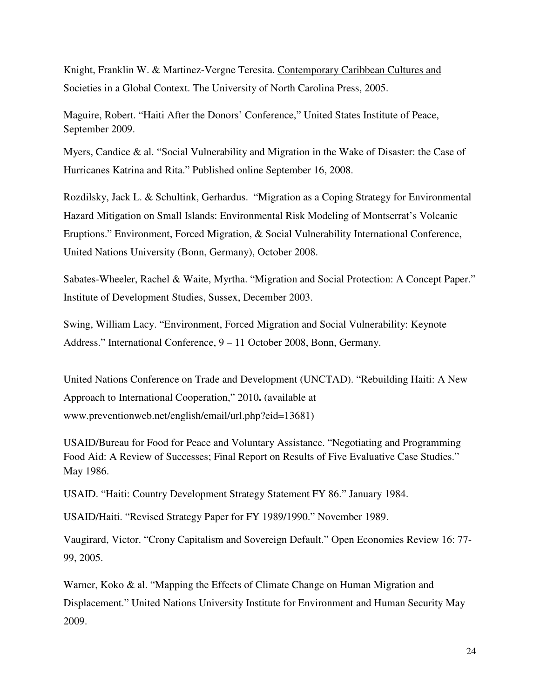Knight, Franklin W. & Martinez-Vergne Teresita. Contemporary Caribbean Cultures and Societies in a Global Context. The University of North Carolina Press, 2005.

Maguire, Robert. "Haiti After the Donors' Conference," United States Institute of Peace, September 2009.

Myers, Candice & al. "Social Vulnerability and Migration in the Wake of Disaster: the Case of Hurricanes Katrina and Rita." Published online September 16, 2008.

Rozdilsky, Jack L. & Schultink, Gerhardus. "Migration as a Coping Strategy for Environmental Hazard Mitigation on Small Islands: Environmental Risk Modeling of Montserrat's Volcanic Eruptions." Environment, Forced Migration, & Social Vulnerability International Conference, United Nations University (Bonn, Germany), October 2008.

Sabates-Wheeler, Rachel & Waite, Myrtha. "Migration and Social Protection: A Concept Paper." Institute of Development Studies, Sussex, December 2003.

Swing, William Lacy. "Environment, Forced Migration and Social Vulnerability: Keynote Address." International Conference, 9 – 11 October 2008, Bonn, Germany.

United Nations Conference on Trade and Development (UNCTAD). "Rebuilding Haiti: A New Approach to International Cooperation," 2010**.** (available at www.preventionweb.net/english/email/url.php?eid=13681)

USAID/Bureau for Food for Peace and Voluntary Assistance. "Negotiating and Programming Food Aid: A Review of Successes; Final Report on Results of Five Evaluative Case Studies." May 1986.

USAID. "Haiti: Country Development Strategy Statement FY 86." January 1984.

USAID/Haiti. "Revised Strategy Paper for FY 1989/1990." November 1989.

Vaugirard, Victor. "Crony Capitalism and Sovereign Default." Open Economies Review 16: 77- 99, 2005.

Warner, Koko & al. "Mapping the Effects of Climate Change on Human Migration and Displacement." United Nations University Institute for Environment and Human Security May 2009.